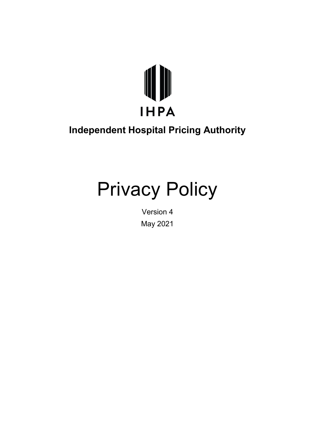

# **Independent Hospital Pricing Authority**

# Privacy Policy

Version 4 May 2021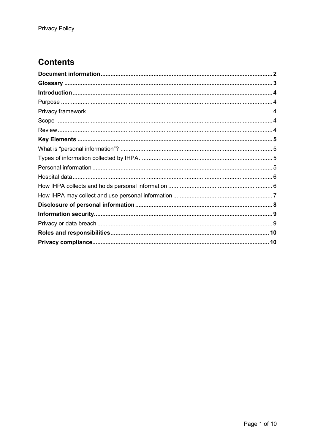# **Contents**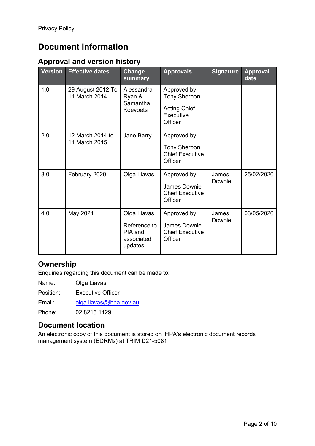# <span id="page-2-0"></span>**Document information**

## **Approval and version history**

| <b>Version</b> | <b>Effective dates</b>             | Change<br>summary                                   | <b>Approvals</b>                                         | <b>Signature</b> | <b>Approval</b><br>date |
|----------------|------------------------------------|-----------------------------------------------------|----------------------------------------------------------|------------------|-------------------------|
| 1.0            | 29 August 2012 To<br>11 March 2014 | Alessandra<br>Ryan &<br>Samantha<br><b>Koevoets</b> | Approved by:<br><b>Tony Sherbon</b>                      |                  |                         |
|                |                                    |                                                     | <b>Acting Chief</b><br>Executive<br>Officer              |                  |                         |
| 2.0            | 12 March 2014 to<br>11 March 2015  | Jane Barry                                          | Approved by:                                             |                  |                         |
|                |                                    |                                                     | <b>Tony Sherbon</b><br><b>Chief Executive</b><br>Officer |                  |                         |
| 3.0            | February 2020                      | Olga Liavas                                         | Approved by:                                             | James<br>Downie  | 25/02/2020              |
|                |                                    |                                                     | James Downie<br><b>Chief Executive</b><br>Officer        |                  |                         |
| 4.0            | May 2021                           | Olga Liavas                                         | Approved by:                                             | James<br>Downie  | 03/05/2020              |
|                |                                    | Reference to<br>PIA and<br>associated<br>updates    | James Downie<br><b>Chief Executive</b><br>Officer        |                  |                         |

## **Ownership**

Enquiries regarding this document can be made to:

Name: Olga Liavas

Position: Executive Officer

Email: [olga.liavas@ihpa.gov.au](mailto:olga.liavas@ihpa.gov.au)

Phone: 02 8215 1129

#### **Document location**

An electronic copy of this document is stored on IHPA's electronic document records management system (EDRMs) at TRIM D21-5081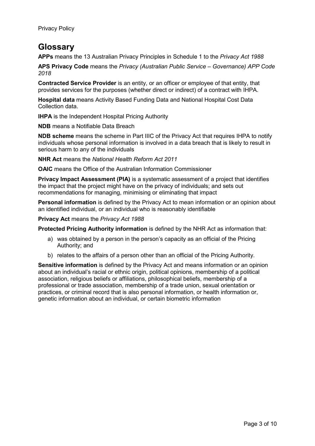# <span id="page-3-0"></span>**Glossary**

**APPs** means the 13 Australian Privacy Principles in Schedule 1 to the *Privacy Act 1988*

**APS Privacy Code** means the *Privacy (Australian Public Service – Governance) APP Code 2018*

**Contracted Service Provider** is an entity, or an officer or employee of that entity, that provides services for the purposes (whether direct or indirect) of a contract with IHPA.

**Hospital data** means Activity Based Funding Data and National Hospital Cost Data Collection data.

**IHPA** is the Independent Hospital Pricing Authority

**NDB** means a Notifiable Data Breach

**NDB scheme** means the scheme in Part IIIC of the Privacy Act that requires IHPA to notify individuals whose personal information is involved in a data breach that is likely to result in serious harm to any of the individuals

**NHR Act** means the *National Health Reform Act 2011*

**OAIC** means the Office of the Australian Information Commissioner

**Privacy Impact Assessment (PIA)** is a systematic assessment of a project that identifies the impact that the project might have on the privacy of individuals; and sets out recommendations for managing, minimising or eliminating that impact

**Personal information** is defined by the Privacy Act to mean information or an opinion about an identified individual, or an individual who is reasonably identifiable

**Privacy Act** means the *Privacy Act 1988*

**Protected Pricing Authority information** is defined by the NHR Act as information that:

- a) was obtained by a person in the person's capacity as an official of the Pricing Authority; and
- b) relates to the affairs of a person other than an official of the Pricing Authority.

**Sensitive information** is defined by the Privacy Act and means information or an opinion about an individual's racial or ethnic origin, political opinions, membership of a political association, religious beliefs or affiliations, philosophical beliefs, membership of a professional or trade association, membership of a trade union, sexual orientation or practices, or criminal record that is also personal information, or health information or, genetic information about an individual, or certain biometric information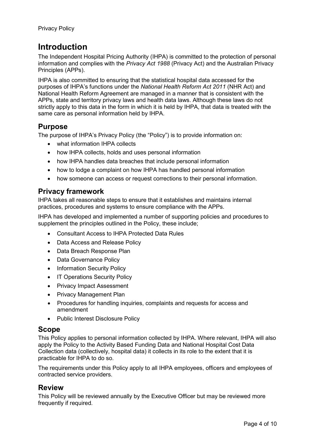# <span id="page-4-0"></span>**Introduction**

The Independent Hospital Pricing Authority (IHPA) is committed to the protection of personal information and complies with the *Privacy Act 1988* (Privacy Act) and the Australian Privacy Principles (APPs).

IHPA is also committed to ensuring that the statistical hospital data accessed for the purposes of IHPA's functions under the *National Health Reform Act 2011* (NHR Act) and National Health Reform Agreement are managed in a manner that is consistent with the APPs, state and territory privacy laws and health data laws. Although these laws do not strictly apply to this data in the form in which it is held by IHPA, that data is treated with the same care as personal information held by IHPA.

## <span id="page-4-1"></span>**Purpose**

The purpose of IHPA's Privacy Policy (the "Policy") is to provide information on:

- what information IHPA collects
- how IHPA collects, holds and uses personal information
- how IHPA handles data breaches that include personal information
- how to lodge a complaint on how IHPA has handled personal information
- how someone can access or request corrections to their personal information.

## <span id="page-4-2"></span>**Privacy framework**

IHPA takes all reasonable steps to ensure that it establishes and maintains internal practices, procedures and systems to ensure compliance with the APPs.

IHPA has developed and implemented a number of supporting policies and procedures to supplement the principles outlined in the Policy, these include;

- Consultant Access to IHPA Protected Data Rules
- Data Access and Release Policy
- Data Breach Response Plan
- Data Governance Policy
- Information Security Policy
- IT Operations Security Policy
- Privacy Impact Assessment
- Privacy Management Plan
- Procedures for handling inquiries, complaints and requests for access and amendment
- Public Interest Disclosure Policy

#### <span id="page-4-3"></span>**Scope**

This Policy applies to personal information collected by IHPA. Where relevant, IHPA will also apply the Policy to the Activity Based Funding Data and National Hospital Cost Data Collection data (collectively, hospital data) it collects in its role to the extent that it is practicable for IHPA to do so.

The requirements under this Policy apply to all IHPA employees, officers and employees of contracted service providers.

## <span id="page-4-4"></span>**Review**

This Policy will be reviewed annually by the Executive Officer but may be reviewed more frequently if required.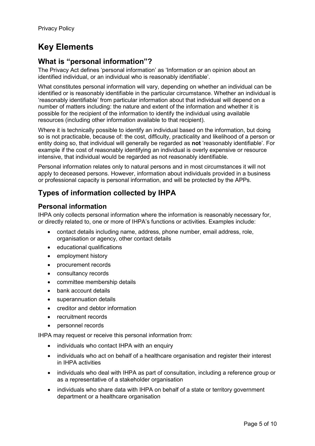# <span id="page-5-0"></span>**Key Elements**

## <span id="page-5-1"></span>**What is "personal information"?**

The Privacy Act defines 'personal information' as 'Information or an opinion about an identified individual, or an individual who is reasonably identifiable'.

What constitutes personal information will vary, depending on whether an individual can be identified or is reasonably identifiable in the particular circumstance. Whether an individual is 'reasonably identifiable' from particular information about that individual will depend on a number of matters including: the nature and extent of the information and whether it is possible for the recipient of the information to identify the individual using available resources (including other information available to that recipient).

Where it is technically possible to identify an individual based on the information, but doing so is not practicable, because of: the cost, difficulty, practicality and likelihood of a person or entity doing so, that individual will generally be regarded as **not** 'reasonably identifiable'. For example if the cost of reasonably identifying an individual is overly expensive or resource intensive, that individual would be regarded as not reasonably identifiable.

Personal information relates only to natural persons and in most circumstances it will not apply to deceased persons. However, information about individuals provided in a business or professional capacity is personal information, and will be protected by the APPs.

# <span id="page-5-2"></span>**Types of information collected by IHPA**

#### <span id="page-5-3"></span>**Personal information**

IHPA only collects personal information where the information is reasonably necessary for, or directly related to, one or more of IHPA's functions or activities. Examples include:

- contact details including name, address, phone number, email address, role, organisation or agency, other contact details
- educational qualifications
- employment history
- procurement records
- consultancy records
- committee membership details
- bank account details
- superannuation details
- creditor and debtor information
- recruitment records
- personnel records

IHPA may request or receive this personal information from:

- individuals who contact IHPA with an enquiry
- individuals who act on behalf of a healthcare organisation and register their interest in IHPA activities
- individuals who deal with IHPA as part of consultation, including a reference group or as a representative of a stakeholder organisation
- individuals who share data with IHPA on behalf of a state or territory government department or a healthcare organisation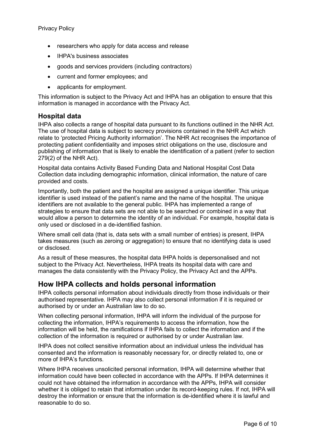- researchers who apply for data access and release
- IHPA's business associates
- goods and services providers (including contractors)
- current and former employees; and
- applicants for employment.

This information is subject to the Privacy Act and IHPA has an obligation to ensure that this information is managed in accordance with the Privacy Act.

#### <span id="page-6-0"></span>**Hospital data**

IHPA also collects a range of hospital data pursuant to its functions outlined in the NHR Act. The use of hospital data is subject to secrecy provisions contained in the NHR Act which relate to 'protected Pricing Authority information'. The NHR Act recognises the importance of protecting patient confidentiality and imposes strict obligations on the use, disclosure and publishing of information that is likely to enable the identification of a patient (refer to section 279(2) of the NHR Act).

Hospital data contains Activity Based Funding Data and National Hospital Cost Data Collection data including demographic information, clinical information, the nature of care provided and costs.

Importantly, both the patient and the hospital are assigned a unique identifier. This unique identifier is used instead of the patient's name and the name of the hospital. The unique identifiers are not available to the general public. IHPA has implemented a range of strategies to ensure that data sets are not able to be searched or combined in a way that would allow a person to determine the identity of an individual. For example, hospital data is only used or disclosed in a de-identified fashion.

Where small cell data (that is, data sets with a small number of entries) is present, IHPA takes measures (such as zeroing or aggregation) to ensure that no identifying data is used or disclosed.

As a result of these measures, the hospital data IHPA holds is depersonalised and not subject to the Privacy Act. Nevertheless, IHPA treats its hospital data with care and manages the data consistently with the Privacy Policy, the Privacy Act and the APPs.

## <span id="page-6-1"></span>**How IHPA collects and holds personal information**

IHPA collects personal information about individuals directly from those individuals or their authorised representative. IHPA may also collect personal information if it is required or authorised by or under an Australian law to do so.

When collecting personal information, IHPA will inform the individual of the purpose for collecting the information, IHPA's requirements to access the information, how the information will be held, the ramifications if IHPA fails to collect the information and if the collection of the information is required or authorised by or under Australian law.

IHPA does not collect sensitive information about an individual unless the individual has consented and the information is reasonably necessary for, or directly related to, one or more of IHPA's functions.

Where IHPA receives unsolicited personal information, IHPA will determine whether that information could have been collected in accordance with the APPs. If IHPA determines it could not have obtained the information in accordance with the APPs, IHPA will consider whether it is obliged to retain that information under its record-keeping rules. If not, IHPA will destroy the information or ensure that the information is de-identified where it is lawful and reasonable to do so.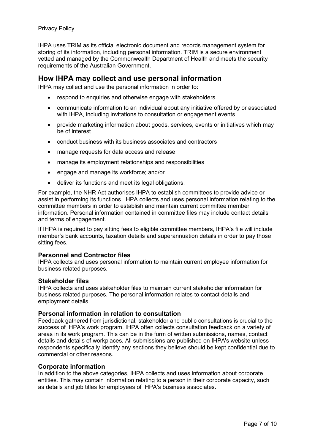#### Privacy Policy

IHPA uses TRIM as its official electronic document and records management system for storing of its information, including personal information. TRIM is a secure environment vetted and managed by the Commonwealth Department of Health and meets the security requirements of the Australian Government.

#### <span id="page-7-0"></span>**How IHPA may collect and use personal information**

IHPA may collect and use the personal information in order to:

- respond to enquiries and otherwise engage with stakeholders
- communicate information to an individual about any initiative offered by or associated with IHPA, including invitations to consultation or engagement events
- provide marketing information about goods, services, events or initiatives which may be of interest
- conduct business with its business associates and contractors
- manage requests for data access and release
- manage its employment relationships and responsibilities
- engage and manage its workforce; and/or
- deliver its functions and meet its legal obligations.

For example, the NHR Act authorises IHPA to establish committees to provide advice or assist in performing its functions. IHPA collects and uses personal information relating to the committee members in order to establish and maintain current committee member information. Personal information contained in committee files may include contact details and terms of engagement.

If IHPA is required to pay sitting fees to eligible committee members, IHPA's file will include member's bank accounts, taxation details and superannuation details in order to pay those sitting fees.

#### **Personnel and Contractor files**

IHPA collects and uses personal information to maintain current employee information for business related purposes.

#### **Stakeholder files**

IHPA collects and uses stakeholder files to maintain current stakeholder information for business related purposes. The personal information relates to contact details and employment details.

#### **Personal information in relation to consultation**

Feedback gathered from jurisdictional, stakeholder and public consultations is crucial to the success of IHPA's work program. IHPA often collects consultation feedback on a variety of areas in its work program. This can be in the form of written submissions, names, contact details and details of workplaces. All submissions are published on IHPA's website unless respondents specifically identify any sections they believe should be kept confidential due to commercial or other reasons.

#### **Corporate information**

In addition to the above categories, IHPA collects and uses information about corporate entities. This may contain information relating to a person in their corporate capacity, such as details and job titles for employees of IHPA's business associates.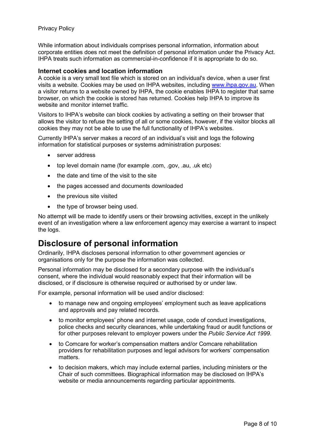#### Privacy Policy

While information about individuals comprises personal information, information about corporate entities does not meet the definition of personal information under the Privacy Act. IHPA treats such information as commercial-in-confidence if it is appropriate to do so.

#### **Internet cookies and location information**

A cookie is a very small text file which is stored on an individual's device, when a user first visits a website. Cookies may be used on IHPA websites, including [www.ihpa.gov.au.](http://www.ihpa.gov.au/) When a visitor returns to a website owned by IHPA, the cookie enables IHPA to register that same browser, on which the cookie is stored has returned. Cookies help IHPA to improve its website and monitor internet traffic.

Visitors to IHPA's website can block cookies by activating a setting on their browser that allows the visitor to refuse the setting of all or some cookies, however, if the visitor blocks all cookies they may not be able to use the full functionality of IHPA's websites.

Currently IHPA's server makes a record of an individual's visit and logs the following information for statistical purposes or systems administration purposes:

- server address
- top level domain name (for example .com, .gov, .au, .uk etc)
- the date and time of the visit to the site
- the pages accessed and documents downloaded
- the previous site visited
- the type of browser being used.

No attempt will be made to identify users or their browsing activities, except in the unlikely event of an investigation where a law enforcement agency may exercise a warrant to inspect the logs.

# <span id="page-8-0"></span>**Disclosure of personal information**

Ordinarily, IHPA discloses personal information to other government agencies or organisations only for the purpose the information was collected.

Personal information may be disclosed for a secondary purpose with the individual's consent, where the individual would reasonably expect that their information will be disclosed, or if disclosure is otherwise required or authorised by or under law.

For example, personal information will be used and/or disclosed:

- to manage new and ongoing employees' employment such as leave applications and approvals and pay related records.
- to monitor employees' phone and internet usage, code of conduct investigations, police checks and security clearances, while undertaking fraud or audit functions or for other purposes relevant to employer powers under the *Public Service Act 1999*.
- to Comcare for worker's compensation matters and/or Comcare rehabilitation providers for rehabilitation purposes and legal advisors for workers' compensation matters.
- to decision makers, which may include external parties, including ministers or the Chair of such committees. Biographical information may be disclosed on IHPA's website or media announcements regarding particular appointments.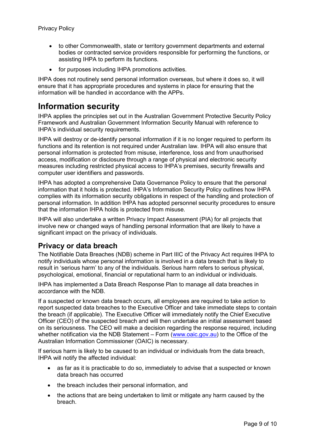- to other Commonwealth, state or territory government departments and external bodies or contracted service providers responsible for performing the functions, or assisting IHPA to perform its functions.
- for purposes including IHPA promotions activities.

IHPA does not routinely send personal information overseas, but where it does so, it will ensure that it has appropriate procedures and systems in place for ensuring that the information will be handled in accordance with the APPs.

# <span id="page-9-0"></span>**Information security**

IHPA applies the principles set out in the Australian Government Protective Security Policy Framework and Australian Government Information Security Manual with reference to IHPA's individual security requirements.

IHPA will destroy or de-identify personal information if it is no longer required to perform its functions and its retention is not required under Australian law. IHPA will also ensure that personal information is protected from misuse, interference, loss and from unauthorised access, modification or disclosure through a range of physical and electronic security measures including restricted physical access to IHPA's premises, security firewalls and computer user identifiers and passwords.

IHPA has adopted a comprehensive Data Governance Policy to ensure that the personal information that it holds is protected. IHPA's Information Security Policy outlines how IHPA complies with its information security obligations in respect of the handling and protection of personal information. In addition IHPA has adopted personnel security procedures to ensure that the information IHPA holds is protected from misuse.

IHPA will also undertake a written Privacy Impact Assessment (PIA) for all projects that involve new or changed ways of handling personal information that are likely to have a significant impact on the privacy of individuals.

## <span id="page-9-1"></span>**Privacy or data breach**

The Notifiable Data Breaches (NDB) scheme in Part IIIC of the Privacy Act requires IHPA to notify individuals whose personal information is involved in a data breach that is likely to result in 'serious harm' to any of the individuals. Serious harm refers to serious physical, psychological, emotional, financial or reputational harm to an individual or individuals.

IHPA has implemented a Data Breach Response Plan to manage all data breaches in accordance with the NDB.

If a suspected or known data breach occurs, all employees are required to take action to report suspected data breaches to the Executive Officer and take immediate steps to contain the breach (if applicable). The Executive Officer will immediately notify the Chief Executive Officer (CEO) of the suspected breach and will then undertake an initial assessment based on its seriousness. The CEO will make a decision regarding the response required, including whether notification via the NDB Statement – Form [\(www.oaic.gov.au\)](http://www.oaic.gov.au/) to the Office of the Australian Information Commissioner (OAIC) is necessary.

If serious harm is likely to be caused to an individual or individuals from the data breach, IHPA will notify the affected individual:

- as far as it is practicable to do so, immediately to advise that a suspected or known data breach has occurred
- the breach includes their personal information, and
- the actions that are being undertaken to limit or mitigate any harm caused by the breach.